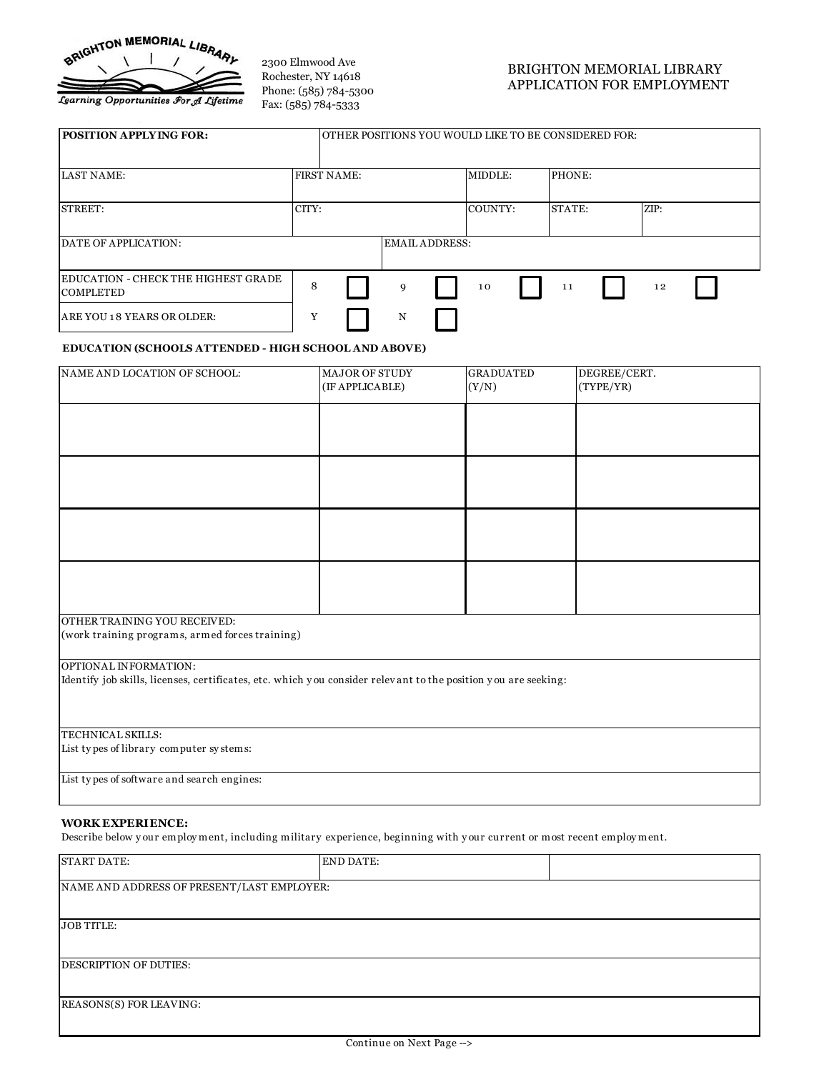

2300 Elmwood Ave Rochester, NY 14618 Phone: (585) 784 -5300 Fax: (585) 784 -5333

## BRIGHTON MEMORIAL LIBRARY APPLICATION FOR EMPLOYMENT

| <b>POSITION APPLYING FOR:</b>                            |       | OTHER POSITIONS YOU WOULD LIKE TO BE CONSIDERED FOR: |   |                |         |        |      |  |
|----------------------------------------------------------|-------|------------------------------------------------------|---|----------------|---------|--------|------|--|
| <b>LAST NAME:</b>                                        |       | <b>FIRST NAME:</b>                                   |   |                | MIDDLE: | PHONE: |      |  |
| STREET:                                                  | CITY: |                                                      |   |                | COUNTY: | STATE: | ZIP: |  |
| DATE OF APPLICATION:                                     |       |                                                      |   | EMAIL ADDRESS: |         |        |      |  |
| EDUCATION - CHECK THE HIGHEST GRADE_<br><b>COMPLETED</b> | 8     |                                                      | 9 |                | 10      | 11     | 12   |  |
| ARE YOU 18 YEARS OR OLDER:                               | Y     |                                                      | N |                |         |        |      |  |

## **EDUCATION (SCHOOLS ATTENDED - HIGH SCHOOL AND ABOVE)**

| ARE YOU 18 YEARS OR OLDER:<br>Y                                                                                                                  | N                                 |                           |                           |
|--------------------------------------------------------------------------------------------------------------------------------------------------|-----------------------------------|---------------------------|---------------------------|
| <b>EDUCATION (SCHOOLS ATTENDED - HIGH SCHOOL AND ABOVE)</b>                                                                                      |                                   |                           |                           |
| NAME AND LOCATION OF SCHOOL:                                                                                                                     | MAJOR OF STUDY<br>(IF APPLICABLE) | <b>GRADUATED</b><br>(Y/N) | DEGREE/CERT.<br>(TYPE/YR) |
|                                                                                                                                                  |                                   |                           |                           |
|                                                                                                                                                  |                                   |                           |                           |
|                                                                                                                                                  |                                   |                           |                           |
|                                                                                                                                                  |                                   |                           |                           |
|                                                                                                                                                  |                                   |                           |                           |
| OTHER TRAINING YOU RECEIVED:<br>(work training programs, armed forces training)                                                                  |                                   |                           |                           |
| OPTIONAL INFORMATION:<br>Identify job skills, licenses, certificates, etc. which you consider relevant to the position you are seeking:          |                                   |                           |                           |
| TECHNICAL SKILLS:<br>List types of library computer systems:                                                                                     |                                   |                           |                           |
| List types of software and search engines:                                                                                                       |                                   |                           |                           |
| <b>WORK EXPERIENCE:</b><br>Describe below your employment, including military experience, beginning with your current or most recent employment. |                                   |                           |                           |

## **WORK EXPERIENCE:**

| <b>START DATE:</b>                         | <b>END DATE:</b> |  |
|--------------------------------------------|------------------|--|
| NAME AND ADDRESS OF PRESENT/LAST EMPLOYER: |                  |  |
|                                            |                  |  |
| <b>JOB TITLE:</b>                          |                  |  |
|                                            |                  |  |
| <b>DESCRIPTION OF DUTIES:</b>              |                  |  |
|                                            |                  |  |